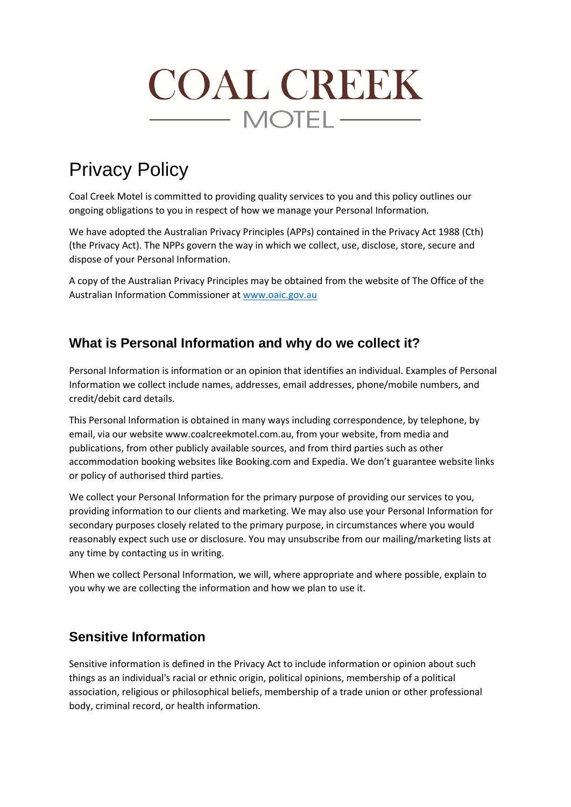# **COAL CREEK**  $\longrightarrow$  MOTEL  $\longrightarrow$

# Privacy Policy

Coal Creek Motel is committed to providing quality services to you and this policy outlines our ongoing obligations to you in respect of how we manage your Personal Information.

We have adopted the Australian Privacy Principles (APPs) contained in the Privacy Act 1988 (Cth) (the Privacy Act). The NPPs govern the way in which we collect, use, disclose, store, secure and dispose of your Personal Information.

A copy of the Australian Privacy Principles may be obtained from the website of The Office of the Australian Information Commissioner a[t www.oaic.gov.au](http://www.oaic.gov.au/)

### **What is Personal Information and why do we collect it?**

Personal Information is information or an opinion that identifies an individual. Examples of Personal Information we collect include names, addresses, email addresses, phone/mobile numbers, and credit/debit card details.

This Personal Information is obtained in many ways including correspondence, by telephone, by email, via our website www.coalcreekmotel.com.au, from your website, from media and publications, from other publicly available sources, and from third parties such as other accommodation booking websites like Booking.com and Expedia. We don't guarantee website links or policy of authorised third parties.

We collect your Personal Information for the primary purpose of providing our services to you, providing information to our clients and marketing. We may also use your Personal Information for secondary purposes closely related to the primary purpose, in circumstances where you would reasonably expect such use or disclosure. You may unsubscribe from our mailing/marketing lists at any time by contacting us in writing.

When we collect Personal Information, we will, where appropriate and where possible, explain to you why we are collecting the information and how we plan to use it.

# **Sensitive Information**

Sensitive information is defined in the Privacy Act to include information or opinion about such things as an individual's racial or ethnic origin, political opinions, membership of a political association, religious or philosophical beliefs, membership of a trade union or other professional body, criminal record, or health information.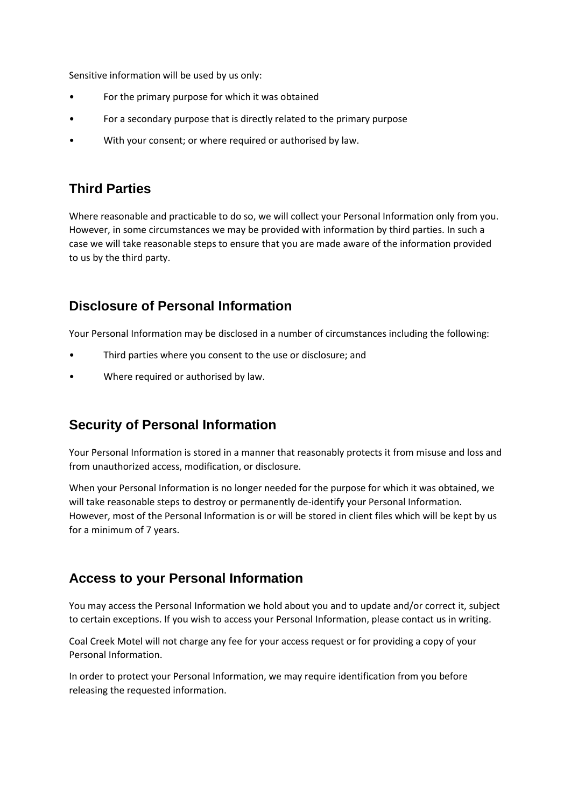Sensitive information will be used by us only:

- For the primary purpose for which it was obtained
- For a secondary purpose that is directly related to the primary purpose
- With your consent; or where required or authorised by law.

# **Third Parties**

Where reasonable and practicable to do so, we will collect your Personal Information only from you. However, in some circumstances we may be provided with information by third parties. In such a case we will take reasonable steps to ensure that you are made aware of the information provided to us by the third party.

#### **Disclosure of Personal Information**

Your Personal Information may be disclosed in a number of circumstances including the following:

- Third parties where you consent to the use or disclosure; and
- Where required or authorised by law.

#### **Security of Personal Information**

Your Personal Information is stored in a manner that reasonably protects it from misuse and loss and from unauthorized access, modification, or disclosure.

When your Personal Information is no longer needed for the purpose for which it was obtained, we will take reasonable steps to destroy or permanently de-identify your Personal Information. However, most of the Personal Information is or will be stored in client files which will be kept by us for a minimum of 7 years.

#### **Access to your Personal Information**

You may access the Personal Information we hold about you and to update and/or correct it, subject to certain exceptions. If you wish to access your Personal Information, please contact us in writing.

Coal Creek Motel will not charge any fee for your access request or for providing a copy of your Personal Information.

In order to protect your Personal Information, we may require identification from you before releasing the requested information.